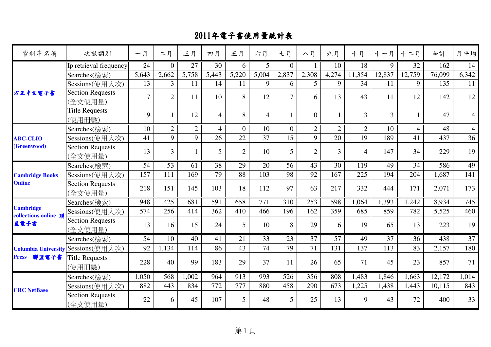| 資料庫名稱                                  | 次數類別                                      | 一月             | 二月             | 三月             | 四月             | 五月             | 六月             | 七月             | 八月             | 九月             | 十月             | 十一月            | 十二月            | 合計     | 月平均             |
|----------------------------------------|-------------------------------------------|----------------|----------------|----------------|----------------|----------------|----------------|----------------|----------------|----------------|----------------|----------------|----------------|--------|-----------------|
|                                        | Ip retrieval frequency                    | 24             | $\theta$       | 27             | 30             | 6              | 5 <sup>1</sup> | $\overline{0}$ |                | 10             | 18             | 9              | 32             | 162    | 14              |
|                                        | Searches(檢索)                              | 5,643          | 2,662          | 5,758          | 5,443          | 5,220          | 5,004          | 2,837          | 2,308          | 4,274          | 11,354         | 12,837         | 12,759         | 76,099 | 6,342           |
|                                        | Sessions(使用人次)                            | 13             | 3              | 11             | 14             | 11             | 9              | 6              | $\overline{5}$ | 9              | 34             | 11             | 9              | 135    | 11              |
| 方正中文電子書                                | <b>Section Requests</b><br>(全文使用量)        | $\overline{7}$ | $\overline{2}$ | 11             | 10             | 8              | 12             | $\overline{7}$ | 6              | 13             | 43             | 11             | 12             | 142    | 12              |
|                                        | <b>Title Requests</b><br>(使用冊數)           | 9              |                | 12             | $\overline{4}$ | 8              | $\overline{4}$ |                | $\theta$       |                | 3              | $\overline{3}$ |                | 47     | $\overline{4}$  |
|                                        | Searches(檢索)                              | 10             | $\overline{2}$ | $\overline{2}$ | $\overline{4}$ | $\overline{0}$ | 10             | $\Omega$       | $\overline{2}$ | $\overline{2}$ | $\overline{2}$ | 10             | $\overline{4}$ | 48     | $\overline{4}$  |
| <b>ABC-CLIO</b>                        | Sessions(使用人次)                            | 41             | 9              | 9              | 26             | 22             | 37             | 15             | 9              | 20             | 19             | 189            | 41             | 437    | 36              |
| (Greenwood)                            | <b>Section Requests</b><br>(全文使用量)        | 13             | 3              |                | 5              | $\overline{2}$ | 10             | 5              | $\overline{2}$ | 3              | $\overline{4}$ | 147            | 34             | 229    | 19              |
| <b>Cambridge Books</b>                 | Searches(檢索)                              | 54             | 53             | 61             | 38             | 29             | 20             | 56             | 43             | 30             | 119            | 49             | 34             | 586    | 49              |
|                                        | Sessions(使用人次)                            | 157            | 111            | 169            | 79             | 88             | 103            | 98             | 92             | 167            | 225            | 194            | 204            | 1,687  | 141             |
| <b>Online</b>                          | <b>Section Requests</b><br>(全文使用量)        | 218            | 151            | 145            | 103            | 18             | 112            | 97             | 63             | 217            | 332            | 444            | 171            | 2,071  | 173             |
|                                        | Searches(檢索)                              | 948            | 425            | 681            | 591            | 658            | 771            | 310            | 253            | 598            | 1,064          | 1,393          | 1,242          | 8,934  | 745             |
| <b>Cambridge</b><br>collections online | Sessions(使用人次)                            | 574            | 256            | 414            | 362            | 410            | 466            | 196            | 162            | 359            | 685            | 859            | 782            | 5,525  | 460             |
| 盟電子書                                   | <b>Section Requests</b><br>(全文使用量)        | 13             | 16             | 15             | 24             | 5              | 10             | 8              | 29             | 6              | 19             | 65             | 13             | 223    | 19              |
|                                        | Searches(檢索)                              | 54             | 10             | 40             | 41             | 21             | 33             | 23             | 37             | 57             | 49             | 37             | 36             | 438    | $\overline{37}$ |
|                                        | <b>Columbia University Sessions(使用人次)</b> | 92             | 1,134          | 114            | 86             | 43             | 74             | 79             | 71             | 131            | 137            | 113            | 83             | 2,157  | 180             |
| 聯盟電子書<br><b>Press</b>                  | <b>Title Requests</b><br>(使用冊數)           | 228            | 40             | 99             | 183            | 29             | 37             | 11             | 26             | 65             | 71             | 45             | 23             | 857    | 71              |
|                                        | Searches(檢索)                              | 1,050          | 568            | 1,002          | 964            | 913            | 993            | 526            | 356            | 808            | 1,483          | 1,846          | 1,663          | 12,172 | 1,014           |
|                                        | Sessions(使用人次)                            | 882            | 443            | 834            | 772            | 777            | 880            | 458            | 290            | 673            | 1,225          | 1,438          | 1,443          | 10,115 | 843             |
| <b>CRC</b> NetBase                     | <b>Section Requests</b><br>(全文使用量)        | 22             | 6              | 45             | 107            | 5              | 48             | 5              | 25             | 13             | 9              | 43             | 72             | 400    | 33              |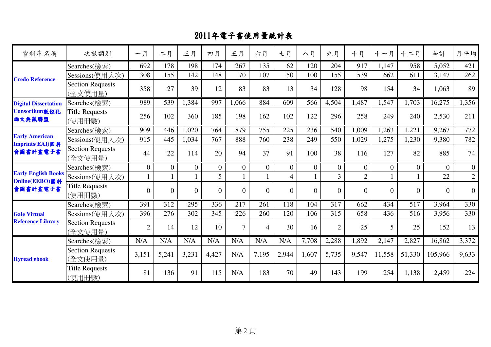| 資料庫名稱                                        | 次數類別                               | 一月             | 二月             | 三月       | 四月             | 五月             | 六月             | 七月             | 八月       | 九月             | 十月             | 十一月            | 十二月            | 合計             | 月平均              |
|----------------------------------------------|------------------------------------|----------------|----------------|----------|----------------|----------------|----------------|----------------|----------|----------------|----------------|----------------|----------------|----------------|------------------|
|                                              | Searches(檢索)                       | 692            | 178            | 198      | 174            | 267            | 135            | 62             | 120      | 204            | 917            | 1,147          | 958            | 5,052          | 421              |
|                                              | Sessions(使用人次)                     | 308            | 155            | 142      | 148            | 170            | 107            | 50             | 100      | 155            | 539            | 662            | 611            | 3,147          | 262              |
| <b>Credo Reference</b>                       | <b>Section Requests</b><br>(全文使用量) | 358            | 27             | 39       | 12             | 83             | 83             | 13             | 34       | 128            | 98             | 154            | 34             | 1,063          | 89               |
| <b>Digital Dissertation</b>                  | Searches(檢索)                       | 989            | 539            | 1,384    | 997            | .066           | 884            | 609            | 566      | 4,504          | 1,487          | 1,547          | 1,703          | 16,275         | 1,356            |
| Consortium數位化<br>論文典藏聯盟                      | <b>Title Requests</b><br>(使用冊數)    | 256            | 102            | 360      | 185            | 198            | 162            | 102            | 122      | 296            | 258            | 249            | 240            | 2,530          | 211              |
|                                              | Searches(檢索)                       | 909            | 446            | 1,020    | 764            | 879            | 755            | 225            | 236      | 540            | 1,009          | 1,263          | 1,221          | 9,267          | 772              |
| <b>Early American</b>                        | Sessions(使用人次)                     | 915            | 445            | 1,034    | 767            | 888            | 760            | 238            | 249      | 550            | 1,029          | 1,275          | 1,230          | 9,380          | 782              |
| Imprints(EAI)圖科<br>會圖書計畫電子書                  | <b>Section Requests</b><br>(全文使用量) | 44             | 22             | 114      | 20             | 94             | 37             | 91             | 100      | 38             | 116            | 127            | 82             | 885            | 74               |
|                                              | Searches(檢索)                       | $\Omega$       | $\Omega$       | $\Omega$ | $\Omega$       | $\Omega$       | $\Omega$       | $\Omega$       | $\Omega$ | $\Omega$       | $\Omega$       | $\overline{0}$ | $\theta$       | $\overline{0}$ | $\overline{0}$   |
| <b>Early English Books</b><br>Online(EEBO)圖科 | Sessions(使用人次)                     |                |                |          | 5              |                |                | $\overline{4}$ |          | $\overline{3}$ | $\overline{2}$ |                |                | 22             | $\overline{2}$   |
| 會圖書計畫電子書                                     | <b>Title Requests</b><br>(使用冊數)    | $\overline{0}$ | $\overline{0}$ | $\Omega$ | $\overline{0}$ | $\overline{0}$ | $\Omega$       | $\overline{0}$ | $\theta$ | $\overline{0}$ | $\Omega$       | $\theta$       | $\overline{0}$ | $\overline{0}$ | $\boldsymbol{0}$ |
|                                              | Searches(檢索)                       | 391            | 312            | 295      | 336            | 217            | 261            | 118            | 104      | 317            | 662            | 434            | 517            | 3,964          | 330              |
| <b>Gale Virtual</b>                          | Sessions(使用人次)                     | 396            | 276            | 302      | 345            | 226            | 260            | 120            | 106      | 315            | 658            | 436            | 516            | 3,956          | 330              |
| <b>Reference Library</b>                     | <b>Section Requests</b><br>(全文使用量) | $\overline{2}$ | 14             | 12       | 10             | $\overline{7}$ | $\overline{4}$ | 30             | 16       | $\overline{2}$ | 25             | 5              | 25             | 152            | 13               |
|                                              | Searches(檢索)                       | N/A            | N/A            | N/A      | N/A            | N/A            | N/A            | N/A            | 7,708    | 2,288          | 1,892          | 2,147          | 2,827          | 16,862         | 3,372            |
| <b>Hyread ebook</b>                          | <b>Section Requests</b><br>(全文使用量) | 3,151          | 5,241          | 3,231    | 4,427          | N/A            | 7,195          | 2,944          | 1,607    | 5,735          | 9,547          | 11,558         | 51,330         | 105,966        | 9,633            |
|                                              | <b>Title Requests</b><br>(使用冊數)    | 81             | 136            | 91       | 115            | N/A            | 183            | 70             | 49       | 143            | 199            | 254            | 1,138          | 2,459          | 224              |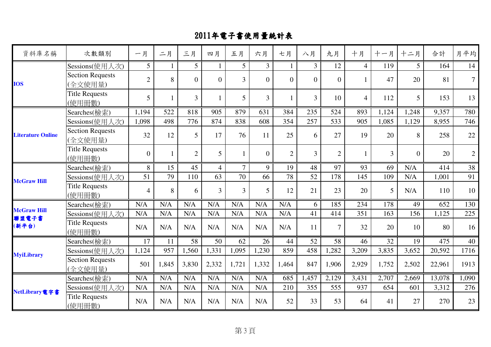| 資料庫名稱                       | 次數類別                               | 一月              | 二月    | 三月             | 四月             | 五月             | 六月             | 七月             | 八月             | 九月             | 十月             | 十一月   | 十二月            | 合計     | 月平均             |
|-----------------------------|------------------------------------|-----------------|-------|----------------|----------------|----------------|----------------|----------------|----------------|----------------|----------------|-------|----------------|--------|-----------------|
|                             | Sessions(使用人次)                     | 5 <sup>5</sup>  |       | 5 <sup>1</sup> |                | 5 <sup>5</sup> | 3 <sup>1</sup> |                | $\overline{3}$ | 12             | $\overline{4}$ | 119   | 5 <sup>5</sup> | 164    | 14              |
| <b>IOS</b>                  | <b>Section Requests</b><br>(全文使用量) | $\overline{2}$  | 8     | $\Omega$       | $\overline{0}$ | $\overline{3}$ | $\overline{0}$ | $\Omega$       | $\theta$       | $\overline{0}$ |                | 47    | 20             | 81     | $\mathcal{T}$   |
|                             | <b>Title Requests</b><br>(使用冊數)    | $5\overline{)}$ |       | $\overline{3}$ |                | 5              | $\overline{3}$ |                | $\overline{3}$ | 10             | $\overline{4}$ | 112   | 5              | 153    | 13              |
|                             | Searches(檢索)                       | 1,194           | 522   | 818            | 905            | 879            | 631            | 384            | 235            | 524            | 893            | 1,124 | 1,248          | 9,357  | 780             |
|                             | Sessions(使用人次)                     | 1,098           | 498   | 776            | 874            | 838            | 608            | 354            | 257            | 533            | 905            | 1,085 | 1,129          | 8,955  | 746             |
| <b>Literature Online</b>    | <b>Section Requests</b><br>(全文使用量) | 32              | 12    | 5              | 17             | 76             | 11             | 25             | 6              | 27             | 19             | 20    | 8              | 258    | 22              |
|                             | <b>Title Requests</b><br>(使用冊數)    | $\overline{0}$  |       | $\overline{2}$ | 5              | 1              | $\Omega$       | $\overline{2}$ | $\overline{3}$ | $\overline{2}$ |                | 3     | $\Omega$       | 20     | $\mathbf{2}$    |
| <b>McGraw Hill</b>          | Searches(檢索)                       | 8               | 15    | 45             | $\overline{4}$ | $\overline{7}$ | 9              | 19             | 48             | 97             | 93             | 69    | N/A            | 414    | $\overline{38}$ |
|                             | Sessions(使用人次)                     | 51              | 79    | 110            | 63             | 70             | 66             | 78             | 52             | 178            | 145            | 109   | N/A            | 1,001  | 91              |
|                             | <b>Title Requests</b><br>(使用冊數)    | $\overline{4}$  | 8     | 6              | $\overline{3}$ | 3              | $\overline{5}$ | 12             | 21             | 23             | 20             | 5     | N/A            | 110    | 10              |
|                             | Searches(檢索)                       | N/A             | N/A   | N/A            | N/A            | N/A            | N/A            | N/A            | 6              | 185            | 234            | 178   | 49             | 652    | 130             |
| <b>McGraw Hill</b><br>聯盟電子書 | Sessions(使用人次)                     | N/A             | N/A   | N/A            | N/A            | N/A            | N/A            | N/A            | 41             | 414            | 351            | 163   | 156            | 1,125  | 225             |
| (新平台)                       | <b>Title Requests</b><br>(使用冊數)    | N/A             | N/A   | N/A            | N/A            | N/A            | N/A            | N/A            | 11             | $\overline{7}$ | 32             | 20    | 10             | 80     | 16              |
|                             | Searches(檢索)                       | 17              | 11    | 58             | 50             | 62             | 26             | 44             | 52             | 58             | 46             | 32    | 19             | 475    | 40              |
|                             | Sessions(使用人次)                     | 1,124           | 957   | 1,560          | 1,331          | 1,095          | 1,230          | 859            | 458            | 1,282          | 3,209          | 3,835 | 3,652          | 20,592 | 1716            |
| <b>MyiLibrary</b>           | <b>Section Requests</b><br>(全文使用量) | 501             | 1,845 | 3,830          | 2,332          | 1,721          | 1,332          | 1,464          | 847            | 1,906          | 2,929          | 1,752 | 2,502          | 22,961 | 1913            |
|                             | Searches(檢索)                       | N/A             | N/A   | N/A            | N/A            | N/A            | N/A            | 685            | 1,457          | 2,129          | 3,431          | 2,707 | 2,669          | 13,078 | 1,090           |
|                             | Sessions(使用人次)                     | N/A             | N/A   | N/A            | N/A            | N/A            | N/A            | 210            | 355            | 555            | 937            | 654   | 601            | 3,312  | 276             |
| NetLibrary電字書               | <b>Title Requests</b><br>(使用冊數)    | N/A             | N/A   | N/A            | N/A            | N/A            | N/A            | 52             | 33             | 53             | 64             | 41    | 27             | 270    | 23              |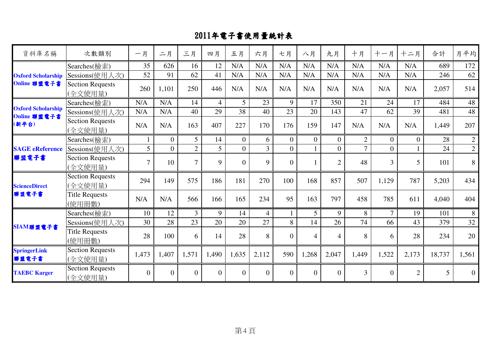| 資料庫名稱                                     | 次數類別                               | 一月             | 二月       | 三月             | 四月             | 五月             | 六月             | 七月             | 八月             | 九月             | 十月             | 十一月            | 十二月            | 合計              | 月平均              |
|-------------------------------------------|------------------------------------|----------------|----------|----------------|----------------|----------------|----------------|----------------|----------------|----------------|----------------|----------------|----------------|-----------------|------------------|
|                                           | Searches(檢索)                       | 35             | 626      | 16             | 12             | N/A            | N/A            | N/A            | N/A            | N/A            | N/A            | N/A            | N/A            | 689             | 172              |
| <b>Oxford Scholarship</b>                 | Sessions(使用人次)                     | 52             | 91       | 62             | 41             | N/A            | N/A            | N/A            | N/A            | N/A            | N/A            | N/A            | N/A            | 246             | 62               |
| Online 聯盟電子書                              | <b>Section Requests</b><br>(全文使用量) | 260            | 1,101    | 250            | 446            | N/A            | N/A            | N/A            | N/A            | N/A            | N/A            | N/A            | N/A            | 2,057           | 514              |
|                                           | Searches(檢索)                       | N/A            | N/A      | 14             | $\overline{4}$ | 5              | 23             | 9              | 17             | 350            | 21             | 24             | 17             | 484             | 48               |
| <b>Oxford Scholarship</b><br>Online 聯盟電子書 | Sessions(使用人次)                     | N/A            | N/A      | 40             | 29             | 38             | 40             | 23             | 20             | 143            | 47             | 62             | 39             | 481             | 48               |
| (新平台)                                     | <b>Section Requests</b><br>(全文使用量) | N/A            | N/A      | 163            | 407            | 227            | 170            | 176            | 159            | 147            | N/A            | N/A            | N/A            | 1,449           | 207              |
| <b>SAGE</b> eReference<br>聯盟電子書           | Searches(檢索)                       |                | $\Omega$ | 5 <sup>5</sup> | 14             | $\overline{0}$ | 6              | $\overline{0}$ | $\theta$       | $\Omega$       | $\overline{2}$ | $\Omega$       | $\Omega$       | 28              | $\overline{2}$   |
|                                           | Sessions(使用人次)                     | 5              | $\theta$ | $\overline{2}$ | 5              | $\overline{0}$ | 3 <sup>1</sup> | $\overline{0}$ |                | $\Omega$       | $\tau$         | $\theta$       |                | 24              | $\overline{2}$   |
|                                           | <b>Section Requests</b><br>(全文使用量) | $\tau$         | 10       | $\overline{7}$ | 9              | $\Omega$       | 9              | $\Omega$       |                | $\mathfrak{2}$ | 48             | $\overline{3}$ | 5              | 101             | $8\,$            |
| <b>ScienceDirect</b>                      | <b>Section Requests</b><br>(全文使用量) | 294            | 149      | 575            | 186            | 181            | 270            | 100            | 168            | 857            | 507            | 1,129          | 787            | 5,203           | 434              |
| 聯盟電子書                                     | <b>Title Requests</b><br>(使用冊數)    | N/A            | N/A      | 566            | 166            | 165            | 234            | 95             | 163            | 797            | 458            | 785            | 611            | 4,040           | 404              |
|                                           | Searches(檢索)                       | 10             | 12       | $\overline{3}$ | 9              | 14             | $\overline{4}$ |                | 5              | 9              | 8              | $\overline{7}$ | 19             | 101             | 8                |
|                                           | Sessions(使用人次)                     | 30             | 28       | 23             | 20             | 20             | 27             | 8              | 14             | 26             | 74             | 66             | 43             | 379             | 32               |
| SIAM聯盟電子書                                 | <b>Title Requests</b><br>(使用冊數)    | 28             | 100      | 6              | 14             | 28             | 8              | $\Omega$       | $\overline{4}$ | $\overline{4}$ | 8              | 6              | 28             | 234             | 20               |
| <b>SpringerLink</b><br>聯盟電子書              | <b>Section Requests</b><br>(全文使用量) | 1,473          | 1,407    | 1,571          | 1,490          | 1,635          | 2,112          | 590            | 1,268          | 2,047          | 1,449          | 1,522          | 2,173          | 18,737          | 1,561            |
| <b>TAEBC Karger</b>                       | <b>Section Requests</b><br>(全文使用量) | $\overline{0}$ | $\theta$ | $\overline{0}$ | $\overline{0}$ | $\theta$       | $\overline{0}$ | $\overline{0}$ | $\theta$       | $\overline{0}$ | 3              | $\overline{0}$ | $\overline{2}$ | $5\overline{)}$ | $\boldsymbol{0}$ |